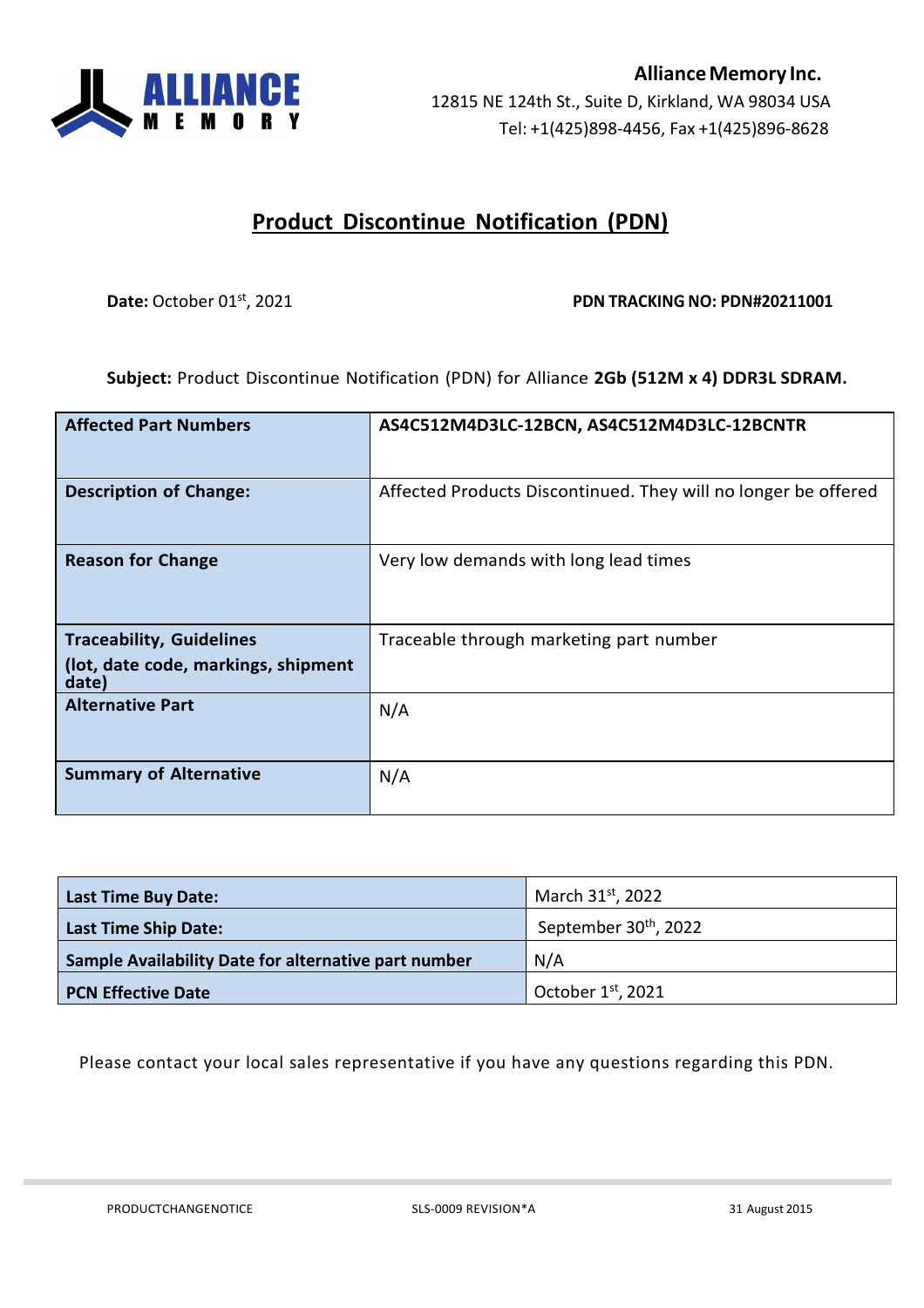

## **Product Discontinue Notification (PDN)**

## **Date:** October 01<sup>st</sup>, 2021 **PDN PDN TRACKING NO: PDN#20211001**

**Subject:** Product Discontinue Notification (PDN) for Alliance **2Gb (512M x 4) DDR3L SDRAM.**

| <b>Affected Part Numbers</b>                 | AS4C512M4D3LC-12BCN, AS4C512M4D3LC-12BCNTR                     |
|----------------------------------------------|----------------------------------------------------------------|
| <b>Description of Change:</b>                | Affected Products Discontinued. They will no longer be offered |
| <b>Reason for Change</b>                     | Very low demands with long lead times                          |
| <b>Traceability, Guidelines</b>              | Traceable through marketing part number                        |
| (lot, date code, markings, shipment<br>date) |                                                                |
| <b>Alternative Part</b>                      | N/A                                                            |
| <b>Summary of Alternative</b>                | N/A                                                            |

| <b>Last Time Buy Date:</b>                           | March 31 <sup>st</sup> , 2022     |
|------------------------------------------------------|-----------------------------------|
| Last Time Ship Date:                                 | September 30 <sup>th</sup> , 2022 |
| Sample Availability Date for alternative part number | N/A                               |
| <b>PCN Effective Date</b>                            | October $1st$ , 2021              |

Please contact your local sales representative if you have any questions regarding this PDN.